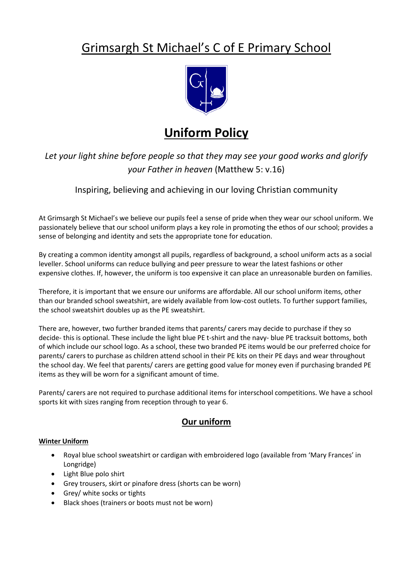# Grimsargh St Michael's C of E Primary School



## **Uniform Policy**

*Let your light shine before people so that they may see your good works and glorify your Father in heaven* (Matthew 5: v.16)

Inspiring, believing and achieving in our loving Christian community

At Grimsargh St Michael's we believe our pupils feel a sense of pride when they wear our school uniform. We passionately believe that our school uniform plays a key role in promoting the ethos of our school; provides a sense of belonging and identity and sets the appropriate tone for education.

By creating a common identity amongst all pupils, regardless of background, a school uniform acts as a social leveller. School uniforms can reduce bullying and peer pressure to wear the latest fashions or other expensive clothes. If, however, the uniform is too expensive it can place an unreasonable burden on families.

Therefore, it is important that we ensure our uniforms are affordable. All our school uniform items, other than our branded school sweatshirt, are widely available from low-cost outlets. To further support families, the school sweatshirt doubles up as the PE sweatshirt.

There are, however, two further branded items that parents/ carers may decide to purchase if they so decide- this is optional. These include the light blue PE t-shirt and the navy- blue PE tracksuit bottoms, both of which include our school logo. As a school, these two branded PE items would be our preferred choice for parents/ carers to purchase as children attend school in their PE kits on their PE days and wear throughout the school day. We feel that parents/ carers are getting good value for money even if purchasing branded PE items as they will be worn for a significant amount of time.

Parents/ carers are not required to purchase additional items for interschool competitions. We have a school sports kit with sizes ranging from reception through to year 6.

### **Our uniform**

#### **Winter Uniform**

- Royal blue school sweatshirt or cardigan with embroidered logo (available from 'Mary Frances' in Longridge)
- Light Blue polo shirt
- Grey trousers, skirt or pinafore dress (shorts can be worn)
- Grey/ white socks or tights
- Black shoes (trainers or boots must not be worn)